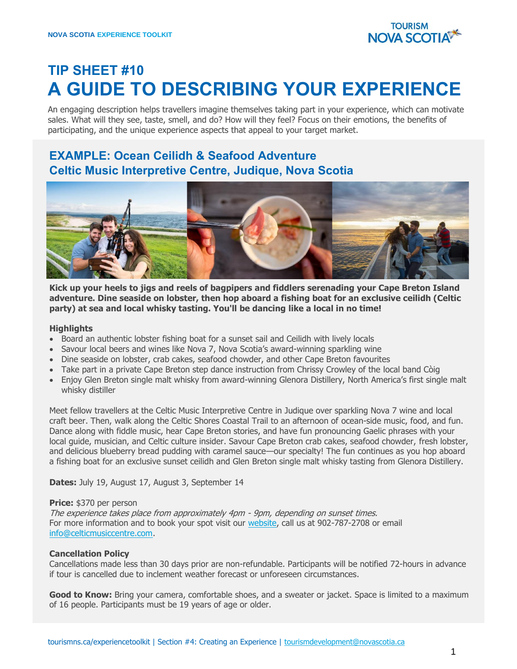

# **TIP SHEET #10 A GUIDE TO DESCRIBING YOUR EXPERIENCE**

An engaging description helps travellers imagine themselves taking part in your experience, which can motivate sales. What will they see, taste, smell, and do? How will they feel? Focus on their emotions, the benefits of participating, and the unique experience aspects that appeal to your target market.

# **EXAMPLE: Ocean Ceilidh & Seafood Adventure Celtic Music Interpretive Centre, Judique, Nova Scotia**



**Kick up your heels to jigs and reels of bagpipers and fiddlers serenading your Cape Breton Island adventure. Dine seaside on lobster, then hop aboard a fishing boat for an exclusive ceilidh (Celtic party) at sea and local whisky tasting. You'll be dancing like a local in no time!**

#### **Highlights**

- Board an authentic lobster fishing boat for a sunset sail and Ceilidh with lively locals
- Savour local beers and wines like Nova 7, Nova Scotia's award-winning sparkling wine
- Dine seaside on lobster, crab cakes, seafood chowder, and other Cape Breton favourites
- Take part in a private Cape Breton step dance instruction from Chrissy Crowley of the local band Còig
- Enjoy Glen Breton single malt whisky from award-winning Glenora Distillery, North America's first single malt whisky distiller

Meet fellow travellers at the Celtic Music Interpretive Centre in Judique over sparkling Nova 7 wine and local craft beer. Then, walk along the Celtic Shores Coastal Trail to an afternoon of ocean-side music, food, and fun. Dance along with fiddle music, hear Cape Breton stories, and have fun pronouncing Gaelic phrases with your local guide, musician, and Celtic culture insider. Savour Cape Breton crab cakes, seafood chowder, fresh lobster, and delicious blueberry bread pudding with caramel sauce—our specialty! The fun continues as you hop aboard a fishing boat for an exclusive sunset ceilidh and Glen Breton single malt whisky tasting from Glenora Distillery.

**Dates:** July 19, August 17, August 3, September 14

#### **Price:** \$370 per person

The experience takes place from approximately 4pm - 9pm, depending on sunset times. For more information and to book your spot visit our [website,](http://www.celticmusiccentre.com/tour/index.htm) call us at 902-787-2708 or email [info@celticmusiccentre.com.](mailto:info@celticmusiccentre.com)

#### **Cancellation Policy**

Cancellations made less than 30 days prior are non-refundable. Participants will be notified 72-hours in advance if tour is cancelled due to inclement weather forecast or unforeseen circumstances.

Good to Know: Bring your camera, comfortable shoes, and a sweater or jacket. Space is limited to a maximum of 16 people. Participants must be 19 years of age or older.